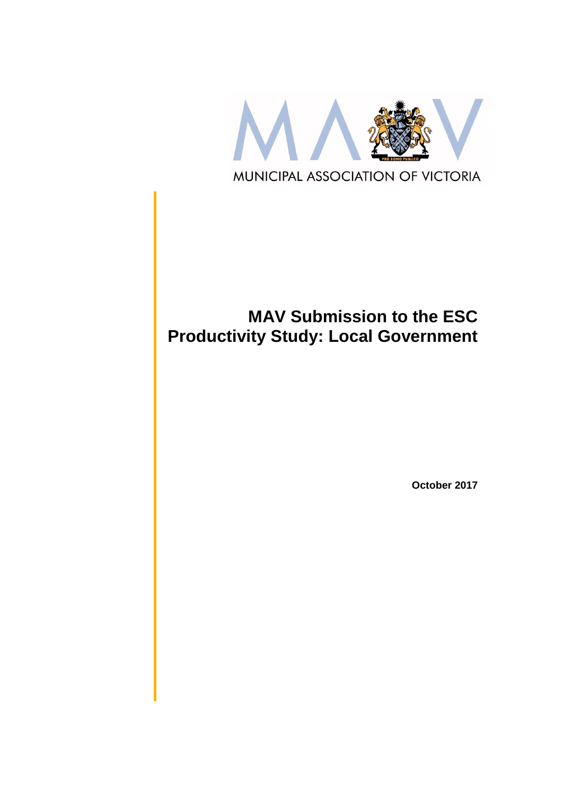

# **MAV Submission to the ESC Productivity Study: Local Government**

**October 2017**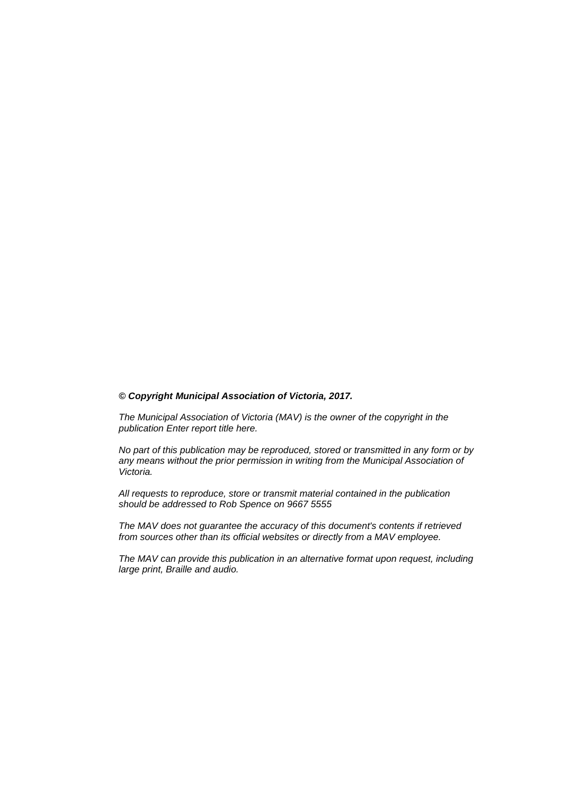#### *© Copyright Municipal Association of Victoria, 2017.*

*The Municipal Association of Victoria (MAV) is the owner of the copyright in the publication Enter report title here.* 

*No part of this publication may be reproduced, stored or transmitted in any form or by any means without the prior permission in writing from the Municipal Association of Victoria.* 

*All requests to reproduce, store or transmit material contained in the publication should be addressed to Rob Spence on 9667 5555*

*The MAV does not guarantee the accuracy of this document's contents if retrieved from sources other than its official websites or directly from a MAV employee.*

*The MAV can provide this publication in an alternative format upon request, including large print, Braille and audio.*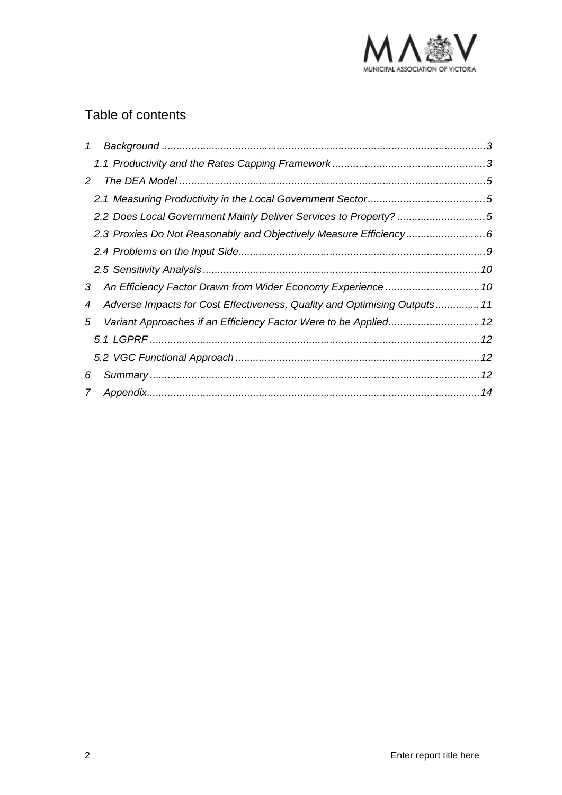

## Table of contents

| $\mathcal{I}$  |                                                                           |  |
|----------------|---------------------------------------------------------------------------|--|
|                |                                                                           |  |
| 2              |                                                                           |  |
|                |                                                                           |  |
|                | 2.2 Does Local Government Mainly Deliver Services to Property? 5          |  |
|                | 2.3 Proxies Do Not Reasonably and Objectively Measure Efficiency6         |  |
|                |                                                                           |  |
|                |                                                                           |  |
| 3              |                                                                           |  |
| 4              | Adverse Impacts for Cost Effectiveness, Quality and Optimising Outputs 11 |  |
| 5              |                                                                           |  |
|                |                                                                           |  |
|                |                                                                           |  |
| 6              |                                                                           |  |
| $\overline{7}$ |                                                                           |  |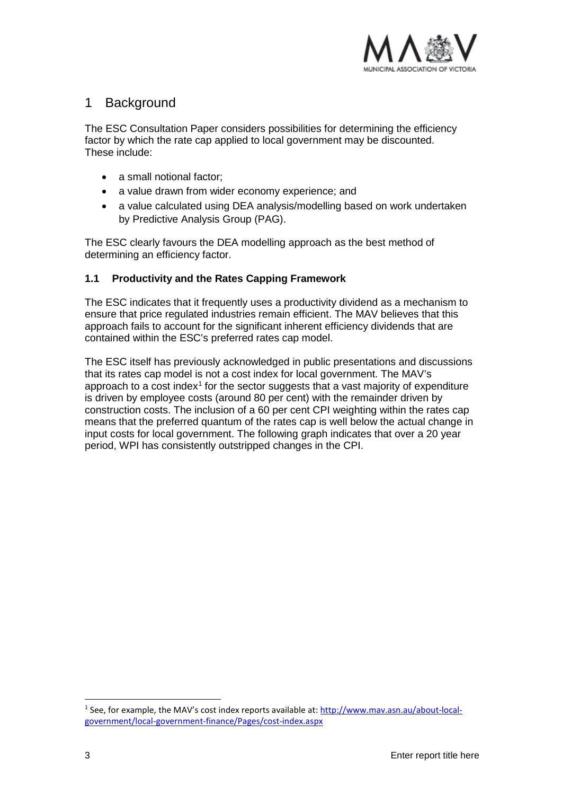

## <span id="page-3-0"></span>1 Background

The ESC Consultation Paper considers possibilities for determining the efficiency factor by which the rate cap applied to local government may be discounted. These include:

- a small notional factor;
- a value drawn from wider economy experience; and
- a value calculated using DEA analysis/modelling based on work undertaken by Predictive Analysis Group (PAG).

The ESC clearly favours the DEA modelling approach as the best method of determining an efficiency factor.

#### <span id="page-3-1"></span>**1.1 Productivity and the Rates Capping Framework**

The ESC indicates that it frequently uses a productivity dividend as a mechanism to ensure that price regulated industries remain efficient. The MAV believes that this approach fails to account for the significant inherent efficiency dividends that are contained within the ESC's preferred rates cap model.

The ESC itself has previously acknowledged in public presentations and discussions that its rates cap model is not a cost index for local government. The MAV's approach to a cost index<sup>[1](#page-3-2)</sup> for the sector suggests that a vast majority of expenditure is driven by employee costs (around 80 per cent) with the remainder driven by construction costs. The inclusion of a 60 per cent CPI weighting within the rates cap means that the preferred quantum of the rates cap is well below the actual change in input costs for local government. The following graph indicates that over a 20 year period, WPI has consistently outstripped changes in the CPI.

-

<span id="page-3-2"></span><sup>1</sup> See, for example, the MAV's cost index reports available at[: http://www.mav.asn.au/about-local](http://www.mav.asn.au/about-local-government/local-government-finance/Pages/cost-index.aspx)[government/local-government-finance/Pages/cost-index.aspx](http://www.mav.asn.au/about-local-government/local-government-finance/Pages/cost-index.aspx)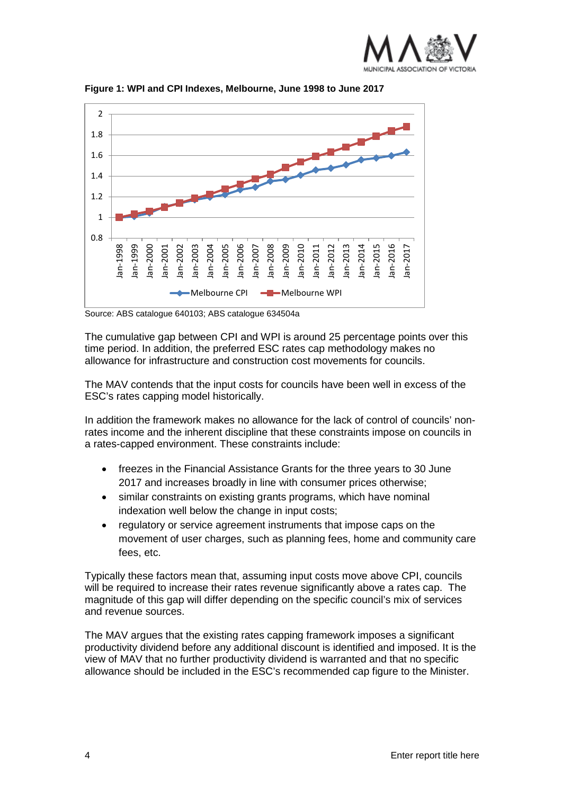



**Figure 1: WPI and CPI Indexes, Melbourne, June 1998 to June 2017**

Source: ABS catalogue 640103; ABS catalogue 634504a

The cumulative gap between CPI and WPI is around 25 percentage points over this time period. In addition, the preferred ESC rates cap methodology makes no allowance for infrastructure and construction cost movements for councils.

The MAV contends that the input costs for councils have been well in excess of the ESC's rates capping model historically.

In addition the framework makes no allowance for the lack of control of councils' nonrates income and the inherent discipline that these constraints impose on councils in a rates-capped environment. These constraints include:

- freezes in the Financial Assistance Grants for the three years to 30 June 2017 and increases broadly in line with consumer prices otherwise;
- similar constraints on existing grants programs, which have nominal indexation well below the change in input costs;
- regulatory or service agreement instruments that impose caps on the movement of user charges, such as planning fees, home and community care fees, etc.

Typically these factors mean that, assuming input costs move above CPI, councils will be required to increase their rates revenue significantly above a rates cap. The magnitude of this gap will differ depending on the specific council's mix of services and revenue sources.

The MAV argues that the existing rates capping framework imposes a significant productivity dividend before any additional discount is identified and imposed. It is the view of MAV that no further productivity dividend is warranted and that no specific allowance should be included in the ESC's recommended cap figure to the Minister.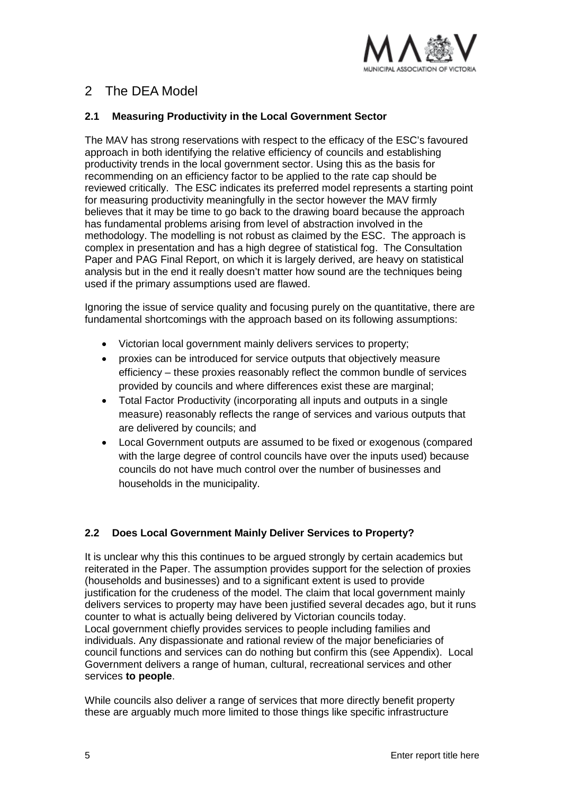

## <span id="page-5-0"></span>2 The DEA Model

#### <span id="page-5-1"></span>**2.1 Measuring Productivity in the Local Government Sector**

The MAV has strong reservations with respect to the efficacy of the ESC's favoured approach in both identifying the relative efficiency of councils and establishing productivity trends in the local government sector. Using this as the basis for recommending on an efficiency factor to be applied to the rate cap should be reviewed critically. The ESC indicates its preferred model represents a starting point for measuring productivity meaningfully in the sector however the MAV firmly believes that it may be time to go back to the drawing board because the approach has fundamental problems arising from level of abstraction involved in the methodology. The modelling is not robust as claimed by the ESC. The approach is complex in presentation and has a high degree of statistical fog. The Consultation Paper and PAG Final Report, on which it is largely derived, are heavy on statistical analysis but in the end it really doesn't matter how sound are the techniques being used if the primary assumptions used are flawed.

Ignoring the issue of service quality and focusing purely on the quantitative, there are fundamental shortcomings with the approach based on its following assumptions:

- Victorian local government mainly delivers services to property;
- proxies can be introduced for service outputs that objectively measure efficiency – these proxies reasonably reflect the common bundle of services provided by councils and where differences exist these are marginal;
- Total Factor Productivity (incorporating all inputs and outputs in a single measure) reasonably reflects the range of services and various outputs that are delivered by councils; and
- Local Government outputs are assumed to be fixed or exogenous (compared with the large degree of control councils have over the inputs used) because councils do not have much control over the number of businesses and households in the municipality.

#### <span id="page-5-2"></span>**2.2 Does Local Government Mainly Deliver Services to Property?**

It is unclear why this this continues to be argued strongly by certain academics but reiterated in the Paper. The assumption provides support for the selection of proxies (households and businesses) and to a significant extent is used to provide justification for the crudeness of the model. The claim that local government mainly delivers services to property may have been justified several decades ago, but it runs counter to what is actually being delivered by Victorian councils today. Local government chiefly provides services to people including families and individuals. Any dispassionate and rational review of the major beneficiaries of council functions and services can do nothing but confirm this (see Appendix). Local Government delivers a range of human, cultural, recreational services and other services **to people**.

While councils also deliver a range of services that more directly benefit property these are arguably much more limited to those things like specific infrastructure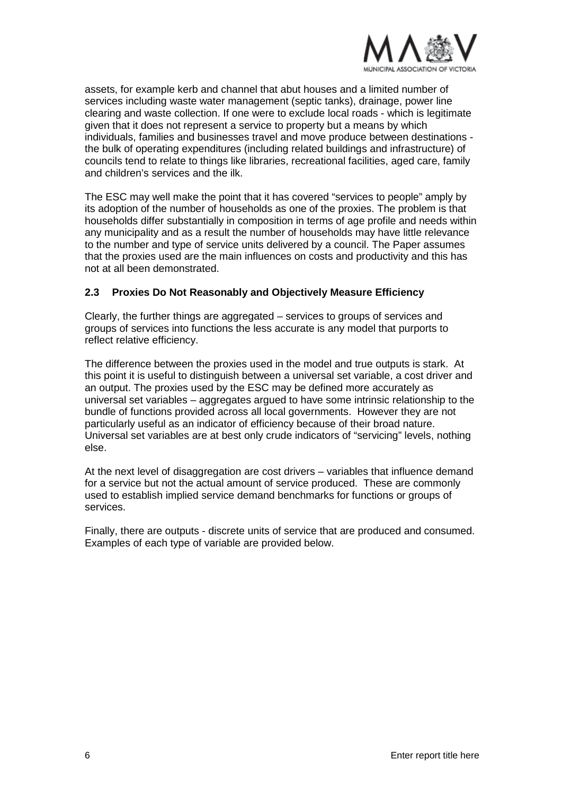

assets, for example kerb and channel that abut houses and a limited number of services including waste water management (septic tanks), drainage, power line clearing and waste collection. If one were to exclude local roads - which is legitimate given that it does not represent a service to property but a means by which individuals, families and businesses travel and move produce between destinations the bulk of operating expenditures (including related buildings and infrastructure) of councils tend to relate to things like libraries, recreational facilities, aged care, family and children's services and the ilk.

The ESC may well make the point that it has covered "services to people" amply by its adoption of the number of households as one of the proxies. The problem is that households differ substantially in composition in terms of age profile and needs within any municipality and as a result the number of households may have little relevance to the number and type of service units delivered by a council. The Paper assumes that the proxies used are the main influences on costs and productivity and this has not at all been demonstrated.

#### <span id="page-6-0"></span>**2.3 Proxies Do Not Reasonably and Objectively Measure Efficiency**

Clearly, the further things are aggregated – services to groups of services and groups of services into functions the less accurate is any model that purports to reflect relative efficiency.

The difference between the proxies used in the model and true outputs is stark. At this point it is useful to distinguish between a universal set variable, a cost driver and an output. The proxies used by the ESC may be defined more accurately as universal set variables – aggregates argued to have some intrinsic relationship to the bundle of functions provided across all local governments. However they are not particularly useful as an indicator of efficiency because of their broad nature. Universal set variables are at best only crude indicators of "servicing" levels, nothing else.

At the next level of disaggregation are cost drivers – variables that influence demand for a service but not the actual amount of service produced. These are commonly used to establish implied service demand benchmarks for functions or groups of services.

Finally, there are outputs - discrete units of service that are produced and consumed. Examples of each type of variable are provided below.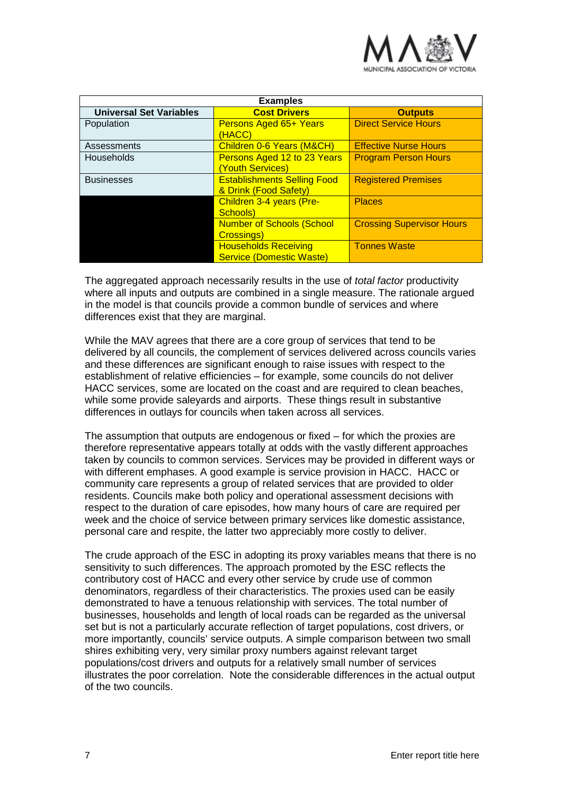

| <b>Examples</b>                |                                                                |                                  |  |
|--------------------------------|----------------------------------------------------------------|----------------------------------|--|
| <b>Universal Set Variables</b> | <b>Cost Drivers</b>                                            | <b>Outputs</b>                   |  |
| Population                     | Persons Aged 65+ Years<br>(HACC)                               | <b>Direct Service Hours</b>      |  |
| Assessments                    | Children 0-6 Years (M&CH)                                      | <b>Effective Nurse Hours</b>     |  |
| Households                     | Persons Aged 12 to 23 Years<br>(Youth Services)                | <b>Program Person Hours</b>      |  |
| <b>Businesses</b>              | <b>Establishments Selling Food</b><br>& Drink (Food Safety)    | <b>Registered Premises</b>       |  |
|                                | Children 3-4 years (Pre-<br>Schools)                           | <b>Places</b>                    |  |
|                                | <b>Number of Schools (School</b><br>Crossings)                 | <b>Crossing Supervisor Hours</b> |  |
|                                | <b>Households Receiving</b><br><b>Service (Domestic Waste)</b> | <b>Tonnes Waste</b>              |  |

The aggregated approach necessarily results in the use of *total factor* productivity where all inputs and outputs are combined in a single measure. The rationale argued in the model is that councils provide a common bundle of services and where differences exist that they are marginal.

While the MAV agrees that there are a core group of services that tend to be delivered by all councils, the complement of services delivered across councils varies and these differences are significant enough to raise issues with respect to the establishment of relative efficiencies – for example, some councils do not deliver HACC services, some are located on the coast and are required to clean beaches, while some provide saleyards and airports. These things result in substantive differences in outlays for councils when taken across all services.

The assumption that outputs are endogenous or fixed – for which the proxies are therefore representative appears totally at odds with the vastly different approaches taken by councils to common services. Services may be provided in different ways or with different emphases. A good example is service provision in HACC. HACC or community care represents a group of related services that are provided to older residents. Councils make both policy and operational assessment decisions with respect to the duration of care episodes, how many hours of care are required per week and the choice of service between primary services like domestic assistance, personal care and respite, the latter two appreciably more costly to deliver.

The crude approach of the ESC in adopting its proxy variables means that there is no sensitivity to such differences. The approach promoted by the ESC reflects the contributory cost of HACC and every other service by crude use of common denominators, regardless of their characteristics. The proxies used can be easily demonstrated to have a tenuous relationship with services. The total number of businesses, households and length of local roads can be regarded as the universal set but is not a particularly accurate reflection of target populations, cost drivers, or more importantly, councils' service outputs. A simple comparison between two small shires exhibiting very, very similar proxy numbers against relevant target populations/cost drivers and outputs for a relatively small number of services illustrates the poor correlation. Note the considerable differences in the actual output of the two councils.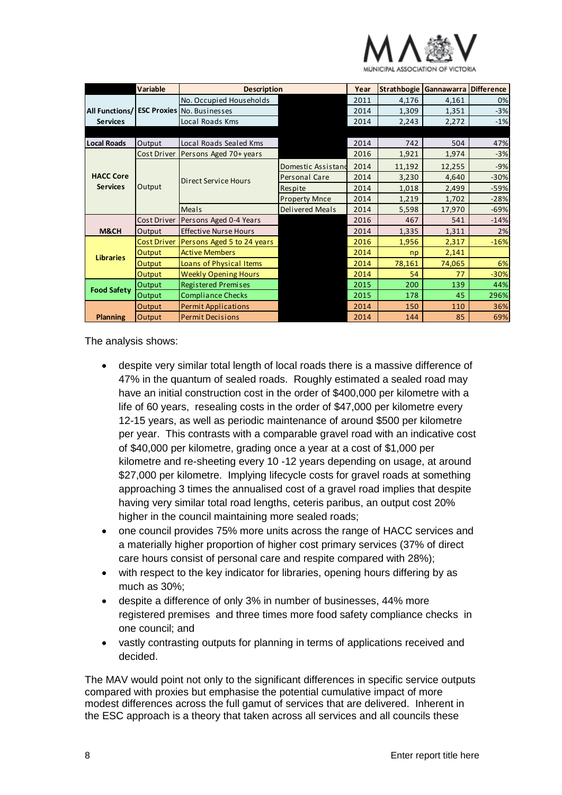

|                       | <b>Variable</b><br><b>Description</b> |                                   | Year                   |      | Strathbogie Gannawarra | <b>Difference</b> |        |
|-----------------------|---------------------------------------|-----------------------------------|------------------------|------|------------------------|-------------------|--------|
|                       |                                       | No. Occupied Households           |                        | 2011 | 4,176                  | 4,161             | 0%     |
| <b>All Functions/</b> |                                       | <b>ESC Proxies</b> No. Businesses |                        | 2014 | 1,309                  | 1,351             | $-3%$  |
| <b>Services</b>       |                                       | Local Roads Kms                   |                        | 2014 | 2,243                  | 2,272             | $-1%$  |
|                       |                                       |                                   |                        |      |                        |                   |        |
| <b>Local Roads</b>    | Output                                | Local Roads Sealed Kms            |                        | 2014 | 742                    | 504               | 47%    |
|                       | Cost Driver                           | Persons Aged 70+ years            |                        | 2016 | 1,921                  | 1,974             | $-3%$  |
|                       |                                       | <b>Direct Service Hours</b>       | Domestic Assistand     | 2014 | 11,192                 | 12,255            | $-9%$  |
| <b>HACC Core</b>      |                                       |                                   | Personal Care          | 2014 | 3,230                  | 4,640             | $-30%$ |
| <b>Services</b>       | Output                                |                                   | <b>Respite</b>         | 2014 | 1,018                  | 2,499             | $-59%$ |
|                       |                                       |                                   | <b>Property Mnce</b>   | 2014 | 1,219                  | 1,702             | $-28%$ |
|                       |                                       | Meals                             | <b>Delivered Meals</b> | 2014 | 5,598                  | 17,970            | $-69%$ |
|                       | Cost Driver                           | Persons Aged 0-4 Years            |                        | 2016 | 467                    | 541               | $-14%$ |
| M&CH                  | Output                                | <b>Effective Nurse Hours</b>      |                        | 2014 | 1,335                  | 1,311             | 2%     |
|                       | <b>Cost Driver</b>                    | Persons Aged 5 to 24 years        |                        | 2016 | 1,956                  | 2,317             | $-16%$ |
| <b>Libraries</b>      | Output                                | <b>Active Members</b>             |                        | 2014 | np                     | 2,141             |        |
|                       | Output                                | Loans of Physical Items           |                        | 2014 | 78,161                 | 74,065            | 6%     |
|                       | Output                                | <b>Weekly Opening Hours</b>       |                        | 2014 | 54                     | 77                | $-30%$ |
| <b>Food Safety</b>    | Output                                | <b>Registered Premises</b>        |                        | 2015 | 200                    | 139               | 44%    |
|                       | Output                                | <b>Compliance Checks</b>          |                        | 2015 | 178                    | 45                | 296%   |
|                       | Output                                | <b>Permit Applications</b>        |                        | 2014 | 150                    | 110               | 36%    |
| <b>Planning</b>       | Output                                | <b>Permit Decisions</b>           |                        | 2014 | 144                    | 85                | 69%    |

The analysis shows:

- despite very similar total length of local roads there is a massive difference of 47% in the quantum of sealed roads. Roughly estimated a sealed road may have an initial construction cost in the order of \$400,000 per kilometre with a life of 60 years, resealing costs in the order of \$47,000 per kilometre every 12-15 years, as well as periodic maintenance of around \$500 per kilometre per year. This contrasts with a comparable gravel road with an indicative cost of \$40,000 per kilometre, grading once a year at a cost of \$1,000 per kilometre and re-sheeting every 10 -12 years depending on usage, at around \$27,000 per kilometre. Implying lifecycle costs for gravel roads at something approaching 3 times the annualised cost of a gravel road implies that despite having very similar total road lengths, ceteris paribus, an output cost 20% higher in the council maintaining more sealed roads;
- one council provides 75% more units across the range of HACC services and a materially higher proportion of higher cost primary services (37% of direct care hours consist of personal care and respite compared with 28%);
- with respect to the key indicator for libraries, opening hours differing by as much as 30%;
- despite a difference of only 3% in number of businesses, 44% more registered premises and three times more food safety compliance checks in one council; and
- vastly contrasting outputs for planning in terms of applications received and decided.

The MAV would point not only to the significant differences in specific service outputs compared with proxies but emphasise the potential cumulative impact of more modest differences across the full gamut of services that are delivered. Inherent in the ESC approach is a theory that taken across all services and all councils these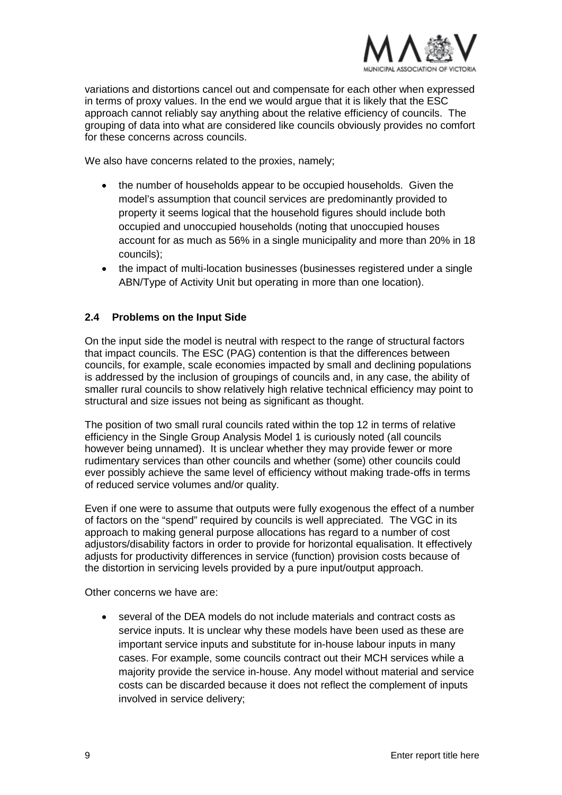

variations and distortions cancel out and compensate for each other when expressed in terms of proxy values. In the end we would argue that it is likely that the ESC approach cannot reliably say anything about the relative efficiency of councils. The grouping of data into what are considered like councils obviously provides no comfort for these concerns across councils.

We also have concerns related to the proxies, namely;

- the number of households appear to be occupied households. Given the model's assumption that council services are predominantly provided to property it seems logical that the household figures should include both occupied and unoccupied households (noting that unoccupied houses account for as much as 56% in a single municipality and more than 20% in 18 councils);
- the impact of multi-location businesses (businesses registered under a single ABN/Type of Activity Unit but operating in more than one location).

#### <span id="page-9-0"></span>**2.4 Problems on the Input Side**

On the input side the model is neutral with respect to the range of structural factors that impact councils. The ESC (PAG) contention is that the differences between councils, for example, scale economies impacted by small and declining populations is addressed by the inclusion of groupings of councils and, in any case, the ability of smaller rural councils to show relatively high relative technical efficiency may point to structural and size issues not being as significant as thought.

The position of two small rural councils rated within the top 12 in terms of relative efficiency in the Single Group Analysis Model 1 is curiously noted (all councils however being unnamed). It is unclear whether they may provide fewer or more rudimentary services than other councils and whether (some) other councils could ever possibly achieve the same level of efficiency without making trade-offs in terms of reduced service volumes and/or quality.

Even if one were to assume that outputs were fully exogenous the effect of a number of factors on the "spend" required by councils is well appreciated. The VGC in its approach to making general purpose allocations has regard to a number of cost adjustors/disability factors in order to provide for horizontal equalisation. It effectively adjusts for productivity differences in service (function) provision costs because of the distortion in servicing levels provided by a pure input/output approach.

Other concerns we have are:

• several of the DEA models do not include materials and contract costs as service inputs. It is unclear why these models have been used as these are important service inputs and substitute for in-house labour inputs in many cases. For example, some councils contract out their MCH services while a majority provide the service in-house. Any model without material and service costs can be discarded because it does not reflect the complement of inputs involved in service delivery;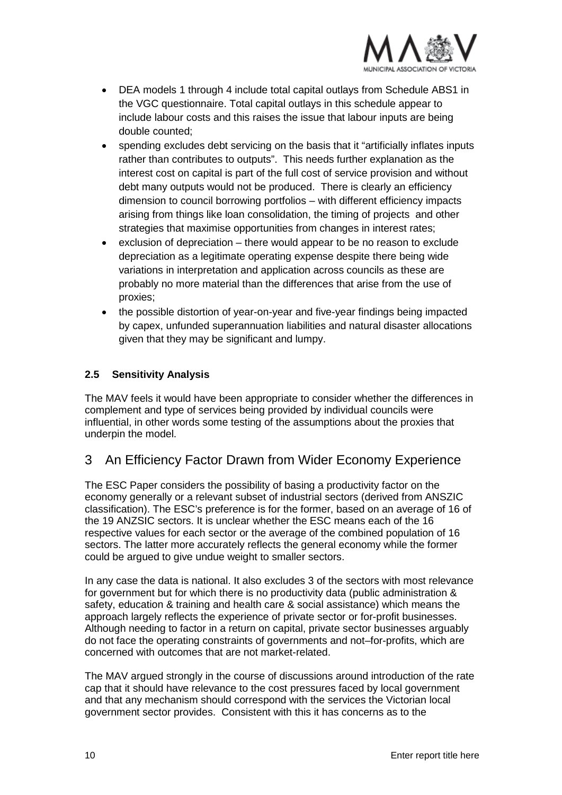

- DEA models 1 through 4 include total capital outlays from Schedule ABS1 in the VGC questionnaire. Total capital outlays in this schedule appear to include labour costs and this raises the issue that labour inputs are being double counted;
- spending excludes debt servicing on the basis that it "artificially inflates inputs rather than contributes to outputs". This needs further explanation as the interest cost on capital is part of the full cost of service provision and without debt many outputs would not be produced. There is clearly an efficiency dimension to council borrowing portfolios – with different efficiency impacts arising from things like loan consolidation, the timing of projects and other strategies that maximise opportunities from changes in interest rates;
- exclusion of depreciation there would appear to be no reason to exclude depreciation as a legitimate operating expense despite there being wide variations in interpretation and application across councils as these are probably no more material than the differences that arise from the use of proxies;
- the possible distortion of year-on-year and five-year findings being impacted by capex, unfunded superannuation liabilities and natural disaster allocations given that they may be significant and lumpy.

#### <span id="page-10-0"></span>**2.5 Sensitivity Analysis**

The MAV feels it would have been appropriate to consider whether the differences in complement and type of services being provided by individual councils were influential, in other words some testing of the assumptions about the proxies that underpin the model.

## <span id="page-10-1"></span>3 An Efficiency Factor Drawn from Wider Economy Experience

The ESC Paper considers the possibility of basing a productivity factor on the economy generally or a relevant subset of industrial sectors (derived from ANSZIC classification). The ESC's preference is for the former, based on an average of 16 of the 19 ANZSIC sectors. It is unclear whether the ESC means each of the 16 respective values for each sector or the average of the combined population of 16 sectors. The latter more accurately reflects the general economy while the former could be argued to give undue weight to smaller sectors.

In any case the data is national. It also excludes 3 of the sectors with most relevance for government but for which there is no productivity data (public administration & safety, education & training and health care & social assistance) which means the approach largely reflects the experience of private sector or for-profit businesses. Although needing to factor in a return on capital, private sector businesses arguably do not face the operating constraints of governments and not–for-profits, which are concerned with outcomes that are not market-related.

The MAV argued strongly in the course of discussions around introduction of the rate cap that it should have relevance to the cost pressures faced by local government and that any mechanism should correspond with the services the Victorian local government sector provides. Consistent with this it has concerns as to the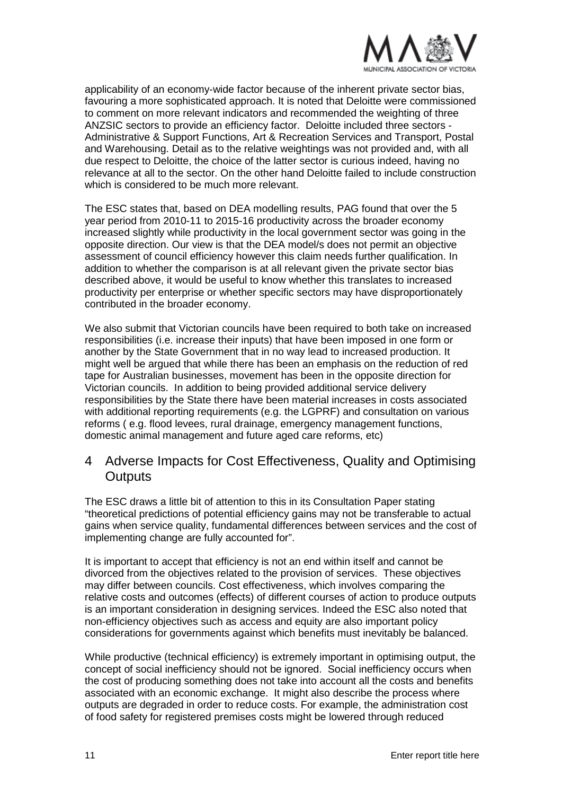

applicability of an economy-wide factor because of the inherent private sector bias, favouring a more sophisticated approach. It is noted that Deloitte were commissioned to comment on more relevant indicators and recommended the weighting of three ANZSIC sectors to provide an efficiency factor. Deloitte included three sectors - Administrative & Support Functions, Art & Recreation Services and Transport, Postal and Warehousing. Detail as to the relative weightings was not provided and, with all due respect to Deloitte, the choice of the latter sector is curious indeed, having no relevance at all to the sector. On the other hand Deloitte failed to include construction which is considered to be much more relevant.

The ESC states that, based on DEA modelling results, PAG found that over the 5 year period from 2010-11 to 2015-16 productivity across the broader economy increased slightly while productivity in the local government sector was going in the opposite direction. Our view is that the DEA model/s does not permit an objective assessment of council efficiency however this claim needs further qualification. In addition to whether the comparison is at all relevant given the private sector bias described above, it would be useful to know whether this translates to increased productivity per enterprise or whether specific sectors may have disproportionately contributed in the broader economy.

We also submit that Victorian councils have been required to both take on increased responsibilities (i.e. increase their inputs) that have been imposed in one form or another by the State Government that in no way lead to increased production. It might well be argued that while there has been an emphasis on the reduction of red tape for Australian businesses, movement has been in the opposite direction for Victorian councils. In addition to being provided additional service delivery responsibilities by the State there have been material increases in costs associated with additional reporting requirements (e.g. the LGPRF) and consultation on various reforms ( e.g. flood levees, rural drainage, emergency management functions, domestic animal management and future aged care reforms, etc)

### <span id="page-11-0"></span>4 Adverse Impacts for Cost Effectiveness, Quality and Optimising **Outputs**

The ESC draws a little bit of attention to this in its Consultation Paper stating "theoretical predictions of potential efficiency gains may not be transferable to actual gains when service quality, fundamental differences between services and the cost of implementing change are fully accounted for".

It is important to accept that efficiency is not an end within itself and cannot be divorced from the objectives related to the provision of services. These objectives may differ between councils. Cost effectiveness, which involves comparing the relative costs and outcomes (effects) of different courses of action to produce outputs is an important consideration in designing services. Indeed the ESC also noted that non-efficiency objectives such as access and equity are also important policy considerations for governments against which benefits must inevitably be balanced.

While productive (technical efficiency) is extremely important in optimising output, the concept of social inefficiency should not be ignored. Social inefficiency occurs when the cost of producing something does not take into account all the costs and benefits associated with an economic exchange. It might also describe the process where outputs are degraded in order to reduce costs. For example, the administration cost of food safety for registered premises costs might be lowered through reduced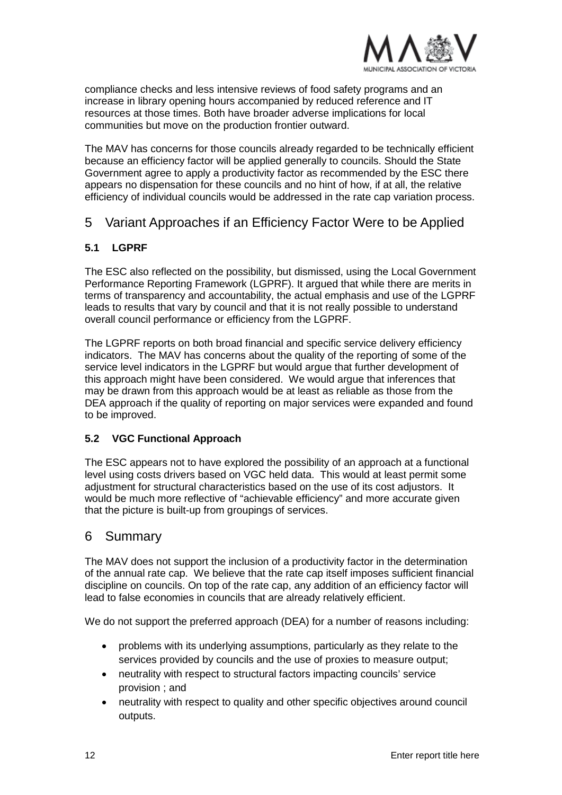

compliance checks and less intensive reviews of food safety programs and an increase in library opening hours accompanied by reduced reference and IT resources at those times. Both have broader adverse implications for local communities but move on the production frontier outward.

The MAV has concerns for those councils already regarded to be technically efficient because an efficiency factor will be applied generally to councils. Should the State Government agree to apply a productivity factor as recommended by the ESC there appears no dispensation for these councils and no hint of how, if at all, the relative efficiency of individual councils would be addressed in the rate cap variation process.

## <span id="page-12-0"></span>5 Variant Approaches if an Efficiency Factor Were to be Applied

#### <span id="page-12-1"></span>**5.1 LGPRF**

The ESC also reflected on the possibility, but dismissed, using the Local Government Performance Reporting Framework (LGPRF). It argued that while there are merits in terms of transparency and accountability, the actual emphasis and use of the LGPRF leads to results that vary by council and that it is not really possible to understand overall council performance or efficiency from the LGPRF.

The LGPRF reports on both broad financial and specific service delivery efficiency indicators. The MAV has concerns about the quality of the reporting of some of the service level indicators in the LGPRF but would argue that further development of this approach might have been considered. We would argue that inferences that may be drawn from this approach would be at least as reliable as those from the DEA approach if the quality of reporting on major services were expanded and found to be improved.

#### <span id="page-12-2"></span>**5.2 VGC Functional Approach**

The ESC appears not to have explored the possibility of an approach at a functional level using costs drivers based on VGC held data. This would at least permit some adjustment for structural characteristics based on the use of its cost adjustors. It would be much more reflective of "achievable efficiency" and more accurate given that the picture is built-up from groupings of services.

#### <span id="page-12-3"></span>6 Summary

The MAV does not support the inclusion of a productivity factor in the determination of the annual rate cap. We believe that the rate cap itself imposes sufficient financial discipline on councils. On top of the rate cap, any addition of an efficiency factor will lead to false economies in councils that are already relatively efficient.

We do not support the preferred approach (DEA) for a number of reasons including:

- problems with its underlying assumptions, particularly as they relate to the services provided by councils and the use of proxies to measure output;
- neutrality with respect to structural factors impacting councils' service provision ; and
- neutrality with respect to quality and other specific objectives around council outputs.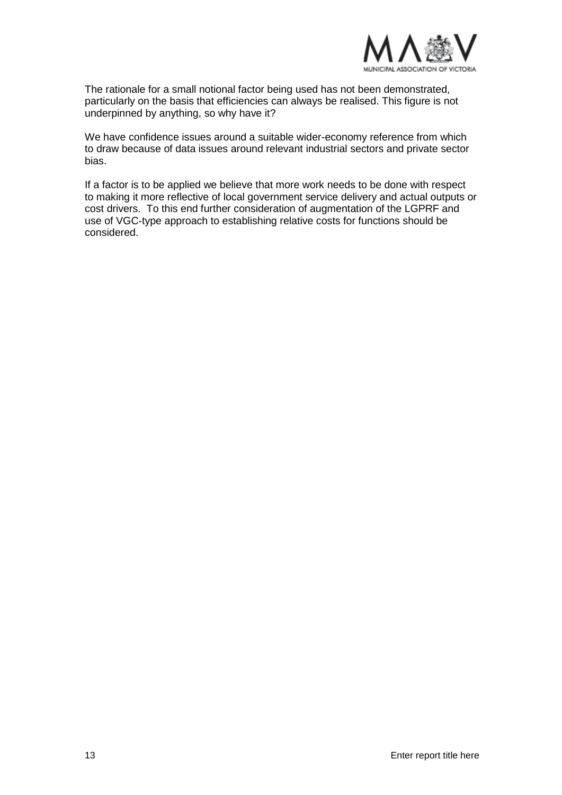

The rationale for a small notional factor being used has not been demonstrated, particularly on the basis that efficiencies can always be realised. This figure is not underpinned by anything, so why have it?

We have confidence issues around a suitable wider-economy reference from which to draw because of data issues around relevant industrial sectors and private sector bias.

If a factor is to be applied we believe that more work needs to be done with respect to making it more reflective of local government service delivery and actual outputs or cost drivers. To this end further consideration of augmentation of the LGPRF and use of VGC-type approach to establishing relative costs for functions should be considered.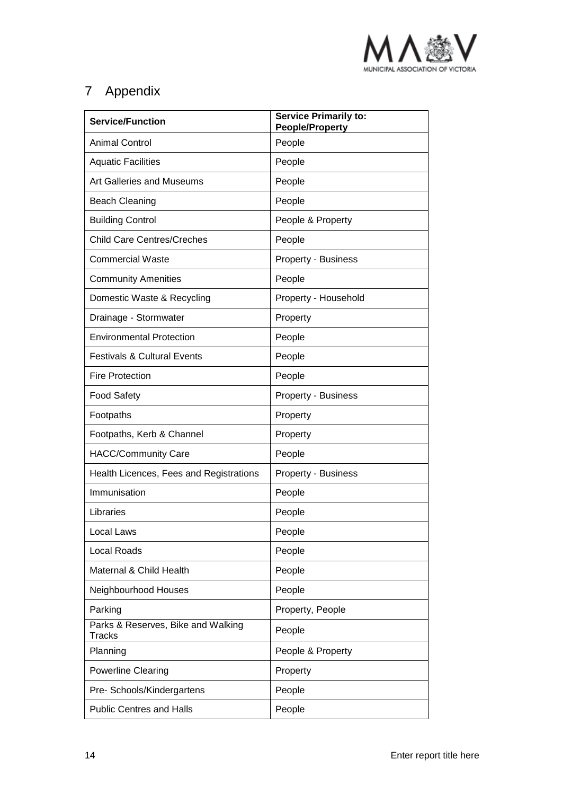

## <span id="page-14-0"></span>7 Appendix

| <b>Service/Function</b>                             | <b>Service Primarily to:</b><br><b>People/Property</b> |  |  |
|-----------------------------------------------------|--------------------------------------------------------|--|--|
| <b>Animal Control</b>                               | People                                                 |  |  |
| <b>Aquatic Facilities</b>                           | People                                                 |  |  |
| Art Galleries and Museums                           | People                                                 |  |  |
| <b>Beach Cleaning</b>                               | People                                                 |  |  |
| <b>Building Control</b>                             | People & Property                                      |  |  |
| <b>Child Care Centres/Creches</b>                   | People                                                 |  |  |
| <b>Commercial Waste</b>                             | Property - Business                                    |  |  |
| <b>Community Amenities</b>                          | People                                                 |  |  |
| Domestic Waste & Recycling                          | Property - Household                                   |  |  |
| Drainage - Stormwater                               | Property                                               |  |  |
| <b>Environmental Protection</b>                     | People                                                 |  |  |
| <b>Festivals &amp; Cultural Events</b>              | People                                                 |  |  |
| <b>Fire Protection</b>                              | People                                                 |  |  |
| <b>Food Safety</b>                                  | Property - Business                                    |  |  |
| Footpaths                                           | Property                                               |  |  |
| Footpaths, Kerb & Channel                           | Property                                               |  |  |
| <b>HACC/Community Care</b>                          | People                                                 |  |  |
| Health Licences, Fees and Registrations             | Property - Business                                    |  |  |
| Immunisation                                        | People                                                 |  |  |
| Libraries                                           | People                                                 |  |  |
| Local Laws                                          | People                                                 |  |  |
| <b>Local Roads</b>                                  | People                                                 |  |  |
| Maternal & Child Health                             | People                                                 |  |  |
| Neighbourhood Houses                                | People                                                 |  |  |
| Parking                                             | Property, People                                       |  |  |
| Parks & Reserves, Bike and Walking<br><b>Tracks</b> | People                                                 |  |  |
| Planning                                            | People & Property                                      |  |  |
| <b>Powerline Clearing</b>                           | Property                                               |  |  |
| Pre- Schools/Kindergartens                          | People                                                 |  |  |
| <b>Public Centres and Halls</b>                     | People                                                 |  |  |